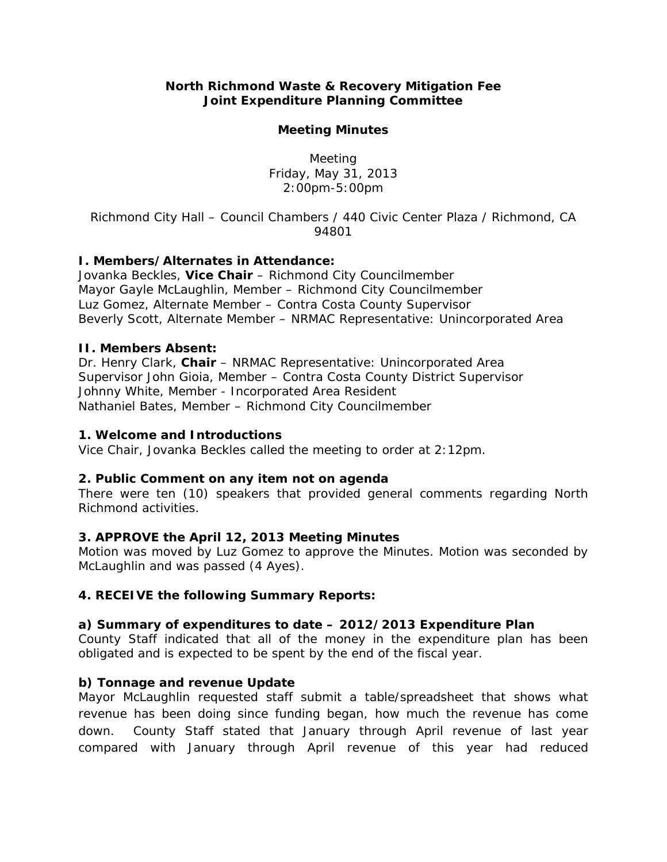### **North Richmond Waste & Recovery Mitigation Fee Joint Expenditure Planning Committee**

#### **Meeting Minutes**

Meeting Friday, May 31, 2013 2:00pm-5:00pm

*Richmond City Hall – Council Chambers / 440 Civic Center Plaza / Richmond, CA 94801* 

# **I. Members/Alternates in Attendance:**

Jovanka Beckles, **Vice Chair** – Richmond City Councilmember Mayor Gayle McLaughlin, Member – Richmond City Councilmember Luz Gomez, Alternate Member – Contra Costa County Supervisor Beverly Scott, Alternate Member – NRMAC Representative: Unincorporated Area

### **II. Members Absent:**

Dr. Henry Clark, **Chair** – NRMAC Representative: Unincorporated Area Supervisor John Gioia, Member – Contra Costa County District Supervisor Johnny White, Member - Incorporated Area Resident Nathaniel Bates, Member – Richmond City Councilmember

### **1. Welcome and Introductions**

Vice Chair, Jovanka Beckles called the meeting to order at 2:12pm.

# **2. Public Comment on any item not on agenda**

There were ten (10) speakers that provided general comments regarding North Richmond activities.

#### **3. APPROVE the April 12, 2013 Meeting Minutes**

*Motion was moved* by Luz Gomez to approve the Minutes. *Motion was seconded* by McLaughlin and *was passed (4 Ayes).* 

# **4. RECEIVE the following Summary Reports:**

# **a) Summary of expenditures to date – 2012/2013 Expenditure Plan**

County Staff indicated that all of the money in the expenditure plan has been obligated and is expected to be spent by the end of the fiscal year.

#### **b) Tonnage and revenue Update**

Mayor McLaughlin requested staff submit a table/spreadsheet that shows what revenue has been doing since funding began, how much the revenue has come down. County Staff stated that January through April revenue of last year compared with January through April revenue of this year had reduced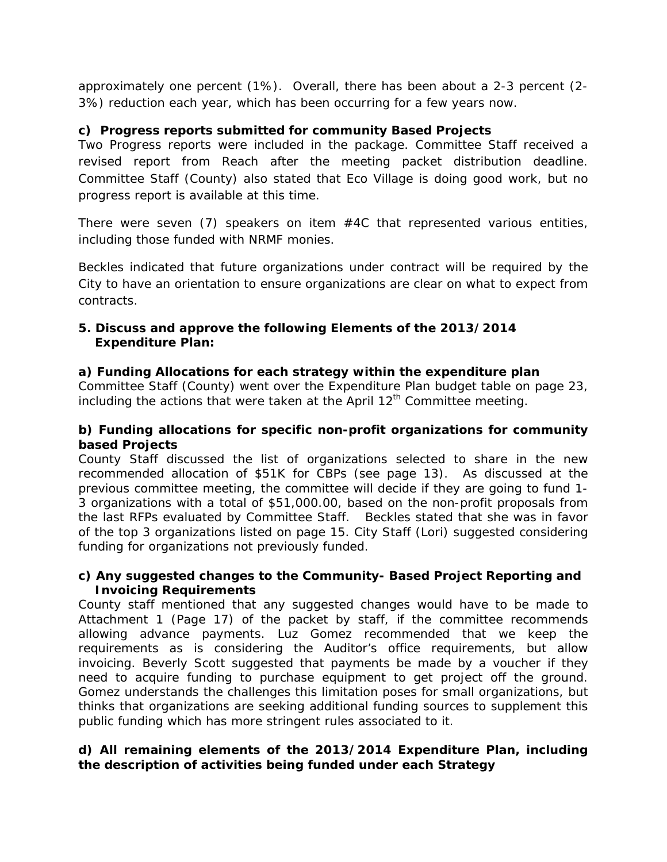approximately one percent (1%). Overall, there has been about a 2-3 percent (2- 3%) reduction each year, which has been occurring for a few years now.

# **c) Progress reports submitted for community Based Projects**

Two Progress reports were included in the package. Committee Staff received a revised report from Reach after the meeting packet distribution deadline. Committee Staff (County) also stated that Eco Village is doing good work, but no progress report is available at this time.

There were seven  $(7)$  speakers on item  $#4C$  that represented various entities, including those funded with NRMF monies.

Beckles indicated that future organizations under contract will be required by the City to have an orientation to ensure organizations are clear on what to expect from contracts.

# **5. Discuss and approve the following Elements of the 2013/2014 Expenditure Plan:**

# **a) Funding Allocations for each strategy within the expenditure plan**

Committee Staff (County) went over the Expenditure Plan budget table on page 23, including the actions that were taken at the April  $12<sup>th</sup>$  Committee meeting.

# **b) Funding allocations for specific non-profit organizations for community based Projects**

County Staff discussed the list of organizations selected to share in the new recommended allocation of \$51K for CBPs (see page 13). As discussed at the previous committee meeting, the committee will decide if they are going to fund 1- 3 organizations with a total of \$51,000.00, based on the non-profit proposals from the last RFPs evaluated by Committee Staff. Beckles stated that she was in favor of the top 3 organizations listed on page 15. City Staff (Lori) suggested considering funding for organizations not previously funded.

# **c) Any suggested changes to the Community- Based Project Reporting and Invoicing Requirements**

County staff mentioned that any suggested changes would have to be made to Attachment 1 (Page 17) of the packet by staff, if the committee recommends allowing advance payments. Luz Gomez recommended that we keep the requirements as is considering the Auditor's office requirements, but allow invoicing. Beverly Scott suggested that payments be made by a voucher if they need to acquire funding to purchase equipment to get project off the ground. Gomez understands the challenges this limitation poses for small organizations, but thinks that organizations are seeking additional funding sources to supplement this public funding which has more stringent rules associated to it.

# **d) All remaining elements of the 2013/2014 Expenditure Plan, including the description of activities being funded under each Strategy**